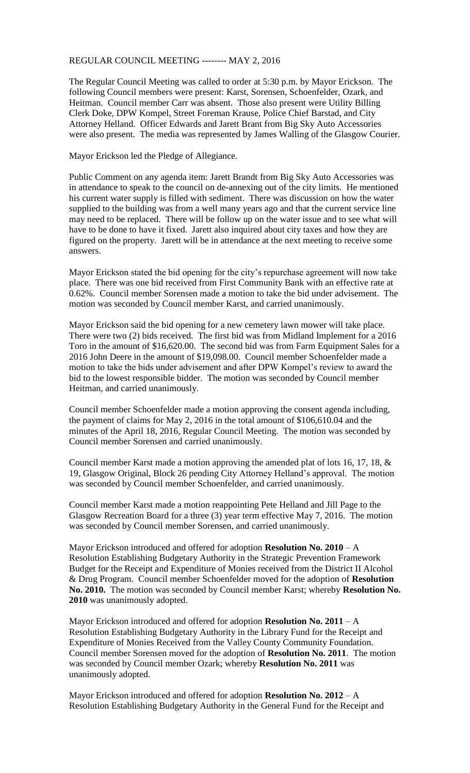## REGULAR COUNCIL MEETING -------- MAY 2, 2016

The Regular Council Meeting was called to order at 5:30 p.m. by Mayor Erickson. The following Council members were present: Karst, Sorensen, Schoenfelder, Ozark, and Heitman. Council member Carr was absent. Those also present were Utility Billing Clerk Doke, DPW Kompel, Street Foreman Krause, Police Chief Barstad, and City Attorney Helland. Officer Edwards and Jarett Brant from Big Sky Auto Accessories were also present. The media was represented by James Walling of the Glasgow Courier.

Mayor Erickson led the Pledge of Allegiance.

Public Comment on any agenda item: Jarett Brandt from Big Sky Auto Accessories was in attendance to speak to the council on de-annexing out of the city limits. He mentioned his current water supply is filled with sediment. There was discussion on how the water supplied to the building was from a well many years ago and that the current service line may need to be replaced. There will be follow up on the water issue and to see what will have to be done to have it fixed. Jarett also inquired about city taxes and how they are figured on the property. Jarett will be in attendance at the next meeting to receive some answers.

Mayor Erickson stated the bid opening for the city's repurchase agreement will now take place. There was one bid received from First Community Bank with an effective rate at 0.62%. Council member Sorensen made a motion to take the bid under advisement. The motion was seconded by Council member Karst, and carried unanimously.

Mayor Erickson said the bid opening for a new cemetery lawn mower will take place. There were two (2) bids received. The first bid was from Midland Implement for a 2016 Toro in the amount of \$16,620.00. The second bid was from Farm Equipment Sales for a 2016 John Deere in the amount of \$19,098.00. Council member Schoenfelder made a motion to take the bids under advisement and after DPW Kompel's review to award the bid to the lowest responsible bidder. The motion was seconded by Council member Heitman, and carried unanimously.

Council member Schoenfelder made a motion approving the consent agenda including, the payment of claims for May 2, 2016 in the total amount of \$106,610.04 and the minutes of the April 18, 2016, Regular Council Meeting. The motion was seconded by Council member Sorensen and carried unanimously.

Council member Karst made a motion approving the amended plat of lots 16, 17, 18, & 19, Glasgow Original, Block 26 pending City Attorney Helland's approval. The motion was seconded by Council member Schoenfelder, and carried unanimously.

Council member Karst made a motion reappointing Pete Helland and Jill Page to the Glasgow Recreation Board for a three (3) year term effective May 7, 2016. The motion was seconded by Council member Sorensen, and carried unanimously.

Mayor Erickson introduced and offered for adoption **Resolution No. 2010** – A Resolution Establishing Budgetary Authority in the Strategic Prevention Framework Budget for the Receipt and Expenditure of Monies received from the District II Alcohol & Drug Program. Council member Schoenfelder moved for the adoption of **Resolution No. 2010.** The motion was seconded by Council member Karst; whereby **Resolution No. 2010** was unanimously adopted.

Mayor Erickson introduced and offered for adoption **Resolution No. 2011** – A Resolution Establishing Budgetary Authority in the Library Fund for the Receipt and Expenditure of Monies Received from the Valley County Community Foundation. Council member Sorensen moved for the adoption of **Resolution No. 2011**. The motion was seconded by Council member Ozark; whereby **Resolution No. 2011** was unanimously adopted.

Mayor Erickson introduced and offered for adoption **Resolution No. 2012** – A Resolution Establishing Budgetary Authority in the General Fund for the Receipt and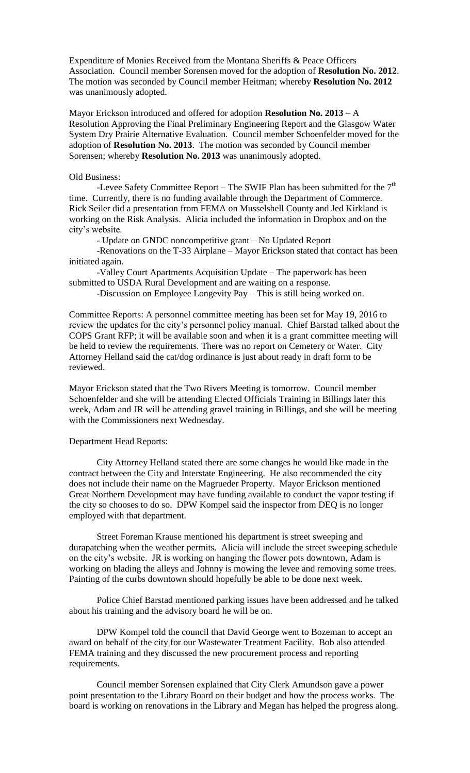Expenditure of Monies Received from the Montana Sheriffs & Peace Officers Association. Council member Sorensen moved for the adoption of **Resolution No. 2012**. The motion was seconded by Council member Heitman; whereby **Resolution No. 2012** was unanimously adopted.

Mayor Erickson introduced and offered for adoption **Resolution No. 2013** – A Resolution Approving the Final Preliminary Engineering Report and the Glasgow Water System Dry Prairie Alternative Evaluation. Council member Schoenfelder moved for the adoption of **Resolution No. 2013**. The motion was seconded by Council member Sorensen; whereby **Resolution No. 2013** was unanimously adopted.

## Old Business:

-Levee Safety Committee Report – The SWIF Plan has been submitted for the  $7<sup>th</sup>$ time. Currently, there is no funding available through the Department of Commerce. Rick Seiler did a presentation from FEMA on Musselshell County and Jed Kirkland is working on the Risk Analysis. Alicia included the information in Dropbox and on the city's website.

- Update on GNDC noncompetitive grant – No Updated Report

-Renovations on the T-33 Airplane – Mayor Erickson stated that contact has been initiated again.

-Valley Court Apartments Acquisition Update – The paperwork has been submitted to USDA Rural Development and are waiting on a response.

-Discussion on Employee Longevity Pay – This is still being worked on.

Committee Reports: A personnel committee meeting has been set for May 19, 2016 to review the updates for the city's personnel policy manual. Chief Barstad talked about the COPS Grant RFP; it will be available soon and when it is a grant committee meeting will be held to review the requirements. There was no report on Cemetery or Water. City Attorney Helland said the cat/dog ordinance is just about ready in draft form to be reviewed.

Mayor Erickson stated that the Two Rivers Meeting is tomorrow. Council member Schoenfelder and she will be attending Elected Officials Training in Billings later this week, Adam and JR will be attending gravel training in Billings, and she will be meeting with the Commissioners next Wednesday.

## Department Head Reports:

City Attorney Helland stated there are some changes he would like made in the contract between the City and Interstate Engineering. He also recommended the city does not include their name on the Magrueder Property. Mayor Erickson mentioned Great Northern Development may have funding available to conduct the vapor testing if the city so chooses to do so. DPW Kompel said the inspector from DEQ is no longer employed with that department.

Street Foreman Krause mentioned his department is street sweeping and durapatching when the weather permits. Alicia will include the street sweeping schedule on the city's website. JR is working on hanging the flower pots downtown, Adam is working on blading the alleys and Johnny is mowing the levee and removing some trees. Painting of the curbs downtown should hopefully be able to be done next week.

Police Chief Barstad mentioned parking issues have been addressed and he talked about his training and the advisory board he will be on.

DPW Kompel told the council that David George went to Bozeman to accept an award on behalf of the city for our Wastewater Treatment Facility. Bob also attended FEMA training and they discussed the new procurement process and reporting requirements.

Council member Sorensen explained that City Clerk Amundson gave a power point presentation to the Library Board on their budget and how the process works. The board is working on renovations in the Library and Megan has helped the progress along.